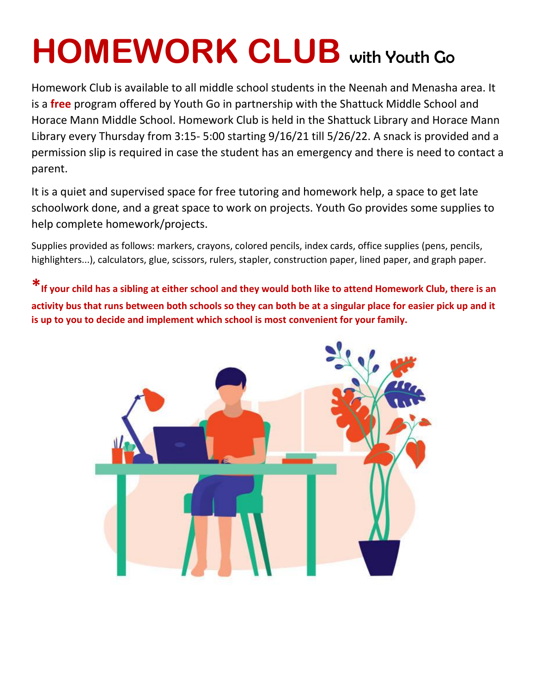## **HOMEWORK CLUB** with Youth Go

Homework Club is available to all middle school students in the Neenah and Menasha area. It is a **free** program offered by Youth Go in partnership with the Shattuck Middle School and Horace Mann Middle School. Homework Club is held in the Shattuck Library and Horace Mann Library every Thursday from 3:15- 5:00 starting 9/16/21 till 5/26/22. A snack is provided and a permission slip is required in case the student has an emergency and there is need to contact a parent.

It is a quiet and supervised space for free tutoring and homework help, a space to get late schoolwork done, and a great space to work on projects. Youth Go provides some supplies to help complete homework/projects.

Supplies provided as follows: markers, crayons, colored pencils, index cards, office supplies (pens, pencils, highlighters...), calculators, glue, scissors, rulers, stapler, construction paper, lined paper, and graph paper.

**\*If your child has a sibling at either school and they would both like to attend Homework Club, there is an activity bus that runs between both schools so they can both be at a singular place for easier pick up and it is up to you to decide and implement which school is most convenient for your family.**

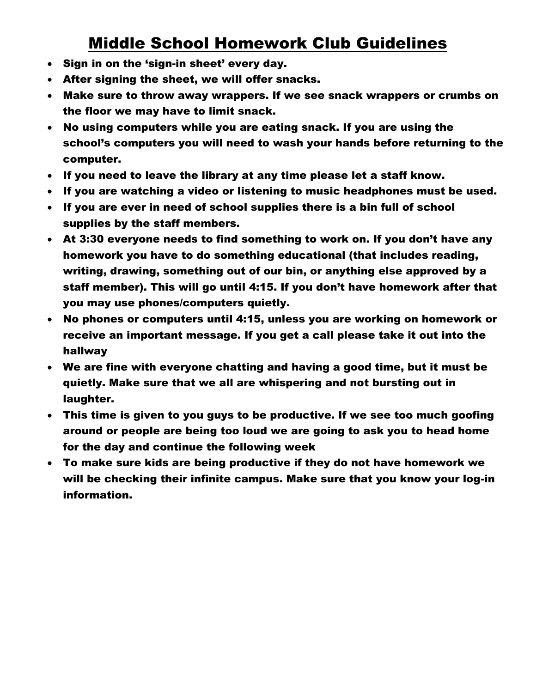## Middle School Homework Club Guidelines

- Sign in on the 'sign-in sheet' every day.
- After signing the sheet, we will offer snacks.
- Make sure to throw away wrappers. If we see snack wrappers or crumbs on the floor we may have to limit snack.
- No using computers while you are eating snack. If you are using the school's computers you will need to wash your hands before returning to the computer.
- If you need to leave the library at any time please let a staff know.
- If you are watching a video or listening to music headphones must be used.
- If you are ever in need of school supplies there is a bin full of school supplies by the staff members.
- At 3:30 everyone needs to find something to work on. If you don't have any homework you have to do something educational (that includes reading, writing, drawing, something out of our bin, or anything else approved by a staff member). This will go until 4:15. If you don't have homework after that you may use phones/computers quietly.
- No phones or computers until 4:15, unless you are working on homework or receive an important message. If you get a call please take it out into the hallway
- We are fine with everyone chatting and having a good time, but it must be quietly. Make sure that we all are whispering and not bursting out in laughter.
- This time is given to you guys to be productive. If we see too much goofing around or people are being too loud we are going to ask you to head home for the day and continue the following week
- To make sure kids are being productive if they do not have homework we will be checking their infinite campus. Make sure that you know your log-in information.